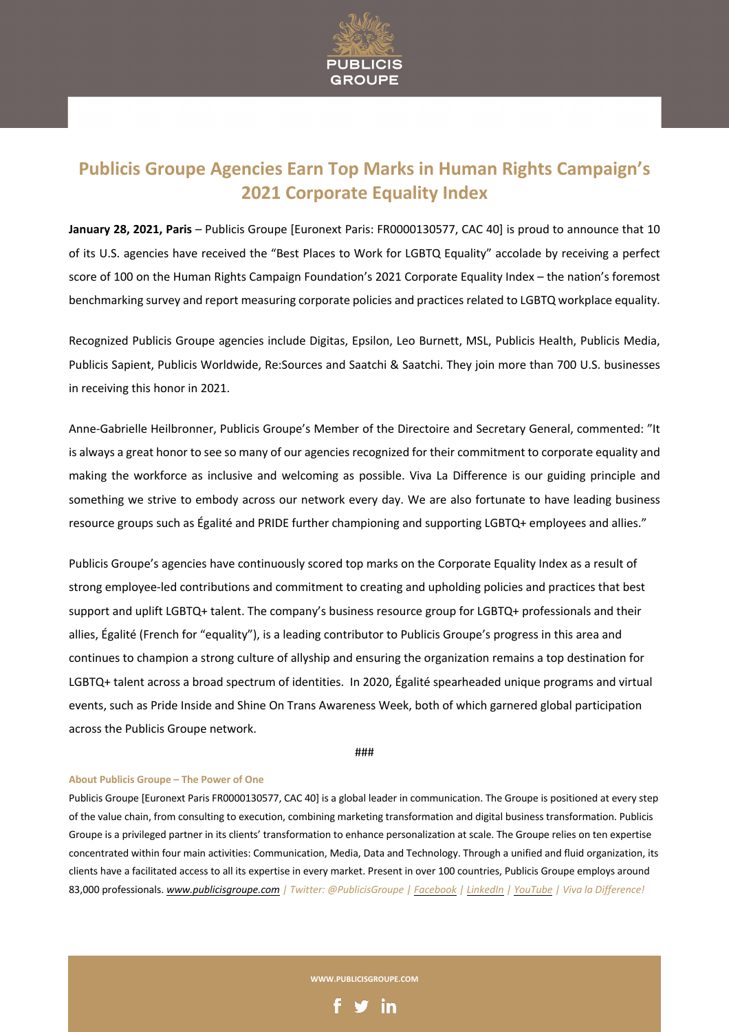

## **Publicis Groupe Agencies Earn Top Marks in Human Rights Campaign's 2021 Corporate Equality Index**

**January 28, 2021, Paris** – Publicis Groupe [Euronext Paris: FR0000130577, CAC 40] is proud to announce that 10 of its U.S. agencies have received the "Best Places to Work for LGBTQ Equality" accolade by receiving a perfect score of 100 on the Human Rights Campaign Foundation's 2021 Corporate Equality Index – the nation's foremost benchmarking survey and report measuring corporate policies and practices related to LGBTQ workplace equality.

Recognized Publicis Groupe agencies include Digitas, Epsilon, Leo Burnett, MSL, Publicis Health, Publicis Media, Publicis Sapient, Publicis Worldwide, Re:Sources and Saatchi & Saatchi. They join more than 700 U.S. businesses in receiving this honor in 2021.

Anne-Gabrielle Heilbronner, Publicis Groupe's Member of the Directoire and Secretary General, commented: "It is always a great honor to see so many of our agencies recognized for their commitment to corporate equality and making the workforce as inclusive and welcoming as possible. Viva La Difference is our guiding principle and something we strive to embody across our network every day. We are also fortunate to have leading business resource groups such as Égalité and PRIDE further championing and supporting LGBTQ+ employees and allies."

Publicis Groupe's agencies have continuously scored top marks on the Corporate Equality Index as a result of strong employee-led contributions and commitment to creating and upholding policies and practices that best support and uplift LGBTQ+ talent. The company's business resource group for LGBTQ+ professionals and their allies, Égalité (French for "equality"), is a leading contributor to Publicis Groupe's progress in this area and continues to champion a strong culture of allyship and ensuring the organization remains a top destination for LGBTQ+ talent across a broad spectrum of identities. In 2020, Égalité spearheaded unique programs and virtual events, such as Pride Inside and Shine On Trans Awareness Week, both of which garnered global participation across the Publicis Groupe network.

###

## **About Publicis Groupe – The Power of One**

Publicis Groupe [Euronext Paris FR0000130577, CAC 40] is a global leader in communication. The Groupe is positioned at every step of the value chain, from consulting to execution, combining marketing transformation and digital business transformation. Publicis Groupe is a privileged partner in its clients' transformation to enhance personalization at scale. The Groupe relies on ten expertise concentrated within four main activities: Communication, Media, Data and Technology. Through a unified and fluid organization, its clients have a facilitated access to all its expertise in every market. Present in over 100 countries, Publicis Groupe employs around 83,000 professionals. *www.publicisgroupe.com | Twitter: @PublicisGroupe | Facebook | LinkedIn | YouTube | Viva la Difference!*

**WWW.PUBLICISGROUPE.COM**